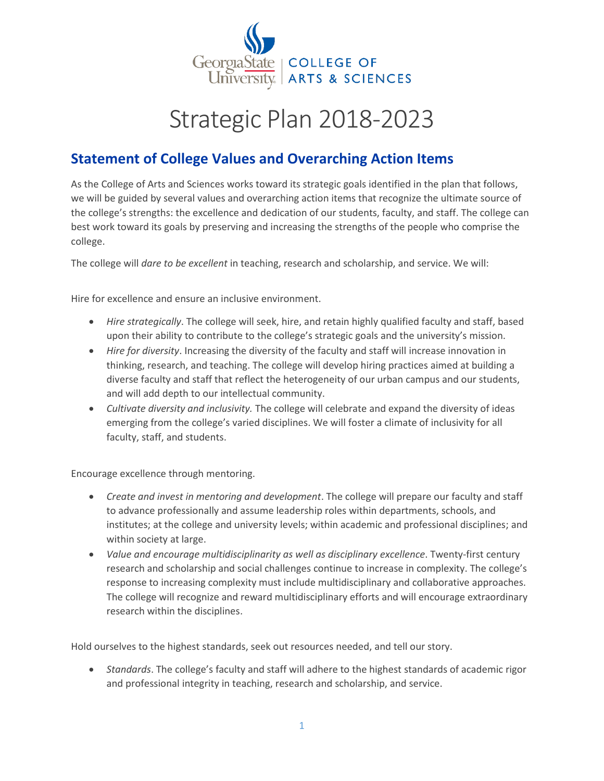

# Strategic Plan 2018-2023

## **Statement of College Values and Overarching Action Items**

As the College of Arts and Sciences works toward its strategic goals identified in the plan that follows, we will be guided by several values and overarching action items that recognize the ultimate source of the college's strengths: the excellence and dedication of our students, faculty, and staff. The college can best work toward its goals by preserving and increasing the strengths of the people who comprise the college.

The college will *dare to be excellent* in teaching, research and scholarship, and service. We will:

Hire for excellence and ensure an inclusive environment.

- *Hire strategically*. The college will seek, hire, and retain highly qualified faculty and staff, based upon their ability to contribute to the college's strategic goals and the university's mission.
- *Hire for diversity*. Increasing the diversity of the faculty and staff will increase innovation in thinking, research, and teaching. The college will develop hiring practices aimed at building a diverse faculty and staff that reflect the heterogeneity of our urban campus and our students, and will add depth to our intellectual community.
- *Cultivate diversity and inclusivity.* The college will celebrate and expand the diversity of ideas emerging from the college's varied disciplines. We will foster a climate of inclusivity for all faculty, staff, and students.

Encourage excellence through mentoring.

- *Create and invest in mentoring and development*. The college will prepare our faculty and staff to advance professionally and assume leadership roles within departments, schools, and institutes; at the college and university levels; within academic and professional disciplines; and within society at large.
- *Value and encourage multidisciplinarity as well as disciplinary excellence*. Twenty-first century research and scholarship and social challenges continue to increase in complexity. The college's response to increasing complexity must include multidisciplinary and collaborative approaches. The college will recognize and reward multidisciplinary efforts and will encourage extraordinary research within the disciplines.

Hold ourselves to the highest standards, seek out resources needed, and tell our story.

 *Standards*. The college's faculty and staff will adhere to the highest standards of academic rigor and professional integrity in teaching, research and scholarship, and service.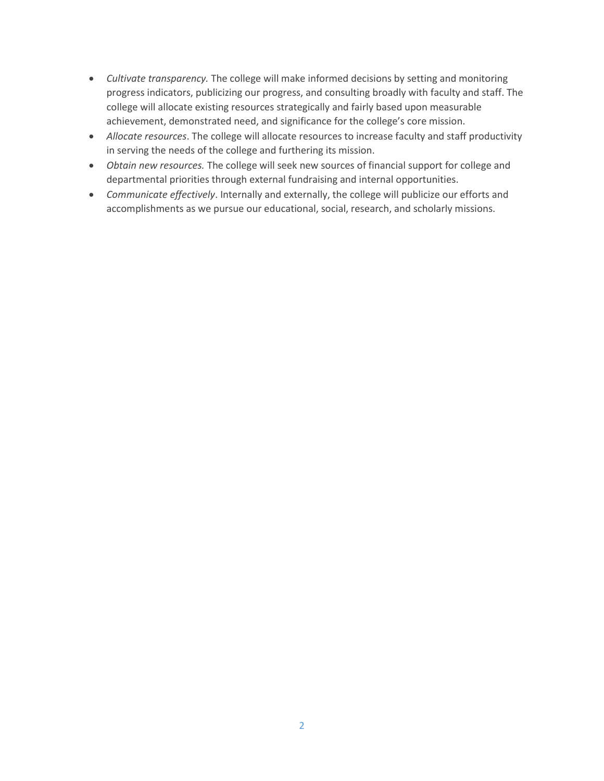- *Cultivate transparency.* The college will make informed decisions by setting and monitoring progress indicators, publicizing our progress, and consulting broadly with faculty and staff. The college will allocate existing resources strategically and fairly based upon measurable achievement, demonstrated need, and significance for the college's core mission.
- *Allocate resources*. The college will allocate resources to increase faculty and staff productivity in serving the needs of the college and furthering its mission.
- *Obtain new resources.* The college will seek new sources of financial support for college and departmental priorities through external fundraising and internal opportunities.
- *Communicate effectively*. Internally and externally, the college will publicize our efforts and accomplishments as we pursue our educational, social, research, and scholarly missions.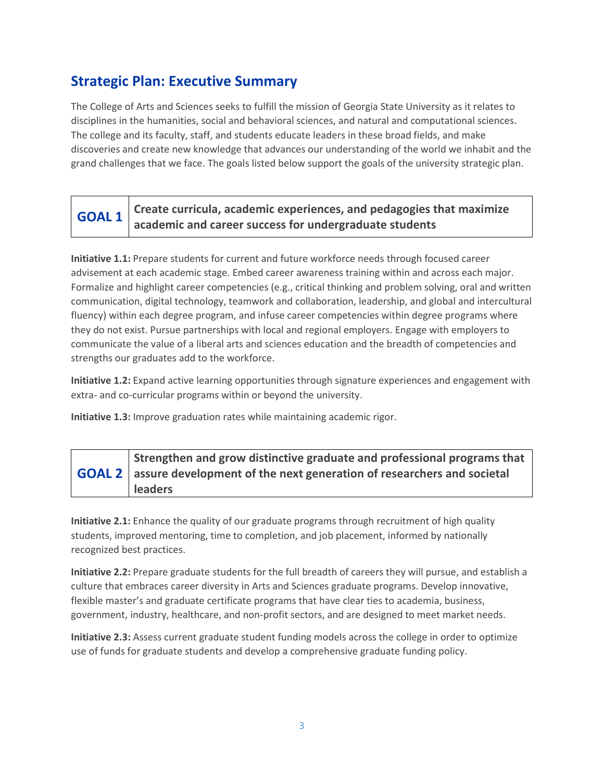### **Strategic Plan: Executive Summary**

The College of Arts and Sciences seeks to fulfill the mission of Georgia State University as it relates to disciplines in the humanities, social and behavioral sciences, and natural and computational sciences. The college and its faculty, staff, and students educate leaders in these broad fields, and make discoveries and create new knowledge that advances our understanding of the world we inhabit and the grand challenges that we face. The goals listed below support the goals of the university strategic plan.

#### **GOAL 1 Create curricula, academic experiences, and pedagogies that maximize academic and career success for undergraduate students**

**Initiative 1.1:** Prepare students for current and future workforce needs through focused career advisement at each academic stage. Embed career awareness training within and across each major. Formalize and highlight career competencies (e.g., critical thinking and problem solving, oral and written communication, digital technology, teamwork and collaboration, leadership, and global and intercultural fluency) within each degree program, and infuse career competencies within degree programs where they do not exist. Pursue partnerships with local and regional employers. Engage with employers to communicate the value of a liberal arts and sciences education and the breadth of competencies and strengths our graduates add to the workforce.

**Initiative 1.2:** Expand active learning opportunities through signature experiences and engagement with extra- and co-curricular programs within or beyond the university.

**Initiative 1.3:** Improve graduation rates while maintaining academic rigor.

#### **GOAL 2 Strengthen and grow distinctive graduate and professional programs that assure development of the next generation of researchers and societal leaders**

**Initiative 2.1:** Enhance the quality of our graduate programs through recruitment of high quality students, improved mentoring, time to completion, and job placement, informed by nationally recognized best practices.

**Initiative 2.2:** Prepare graduate students for the full breadth of careers they will pursue, and establish a culture that embraces career diversity in Arts and Sciences graduate programs. Develop innovative, flexible master's and graduate certificate programs that have clear ties to academia, business, government, industry, healthcare, and non-profit sectors, and are designed to meet market needs.

**Initiative 2.3:** Assess current graduate student funding models across the college in order to optimize use of funds for graduate students and develop a comprehensive graduate funding policy.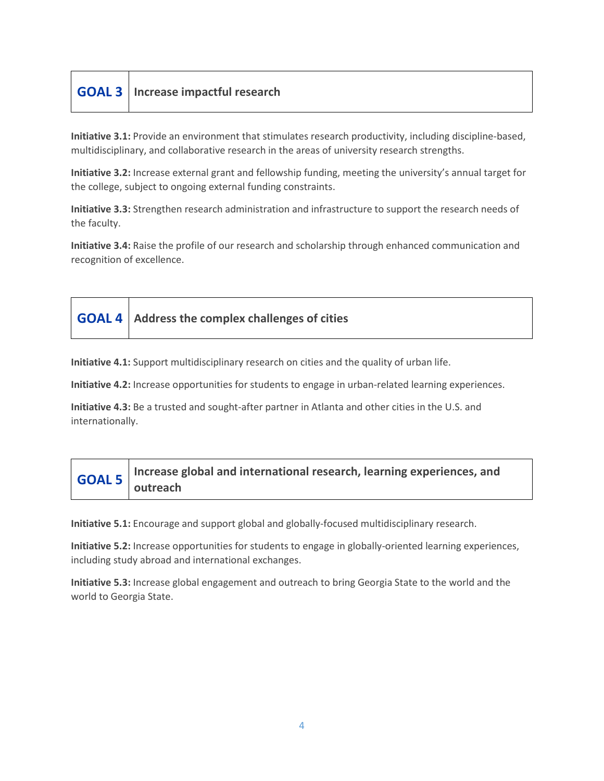| <b>GOAL 3</b>   Increase impactful research |  |
|---------------------------------------------|--|
|---------------------------------------------|--|

**Initiative 3.1:** Provide an environment that stimulates research productivity, including discipline-based, multidisciplinary, and collaborative research in the areas of university research strengths.

**Initiative 3.2:** Increase external grant and fellowship funding, meeting the university's annual target for the college, subject to ongoing external funding constraints.

**Initiative 3.3:** Strengthen research administration and infrastructure to support the research needs of the faculty.

**Initiative 3.4:** Raise the profile of our research and scholarship through enhanced communication and recognition of excellence.

| <b>GOAL 4</b> Address the complex challenges of cities |
|--------------------------------------------------------|
|                                                        |

**Initiative 4.1:** Support multidisciplinary research on cities and the quality of urban life.

**Initiative 4.2:** Increase opportunities for students to engage in urban-related learning experiences.

**Initiative 4.3:** Be a trusted and sought-after partner in Atlanta and other cities in the U.S. and internationally.

|  | $\bigcap_{n=1}^{\infty}$ Increase global and international research, learning experiences, and outreach |
|--|---------------------------------------------------------------------------------------------------------|
|  |                                                                                                         |

**Initiative 5.1:** Encourage and support global and globally-focused multidisciplinary research.

**Initiative 5.2:** Increase opportunities for students to engage in globally-oriented learning experiences, including study abroad and international exchanges.

**Initiative 5.3:** Increase global engagement and outreach to bring Georgia State to the world and the world to Georgia State.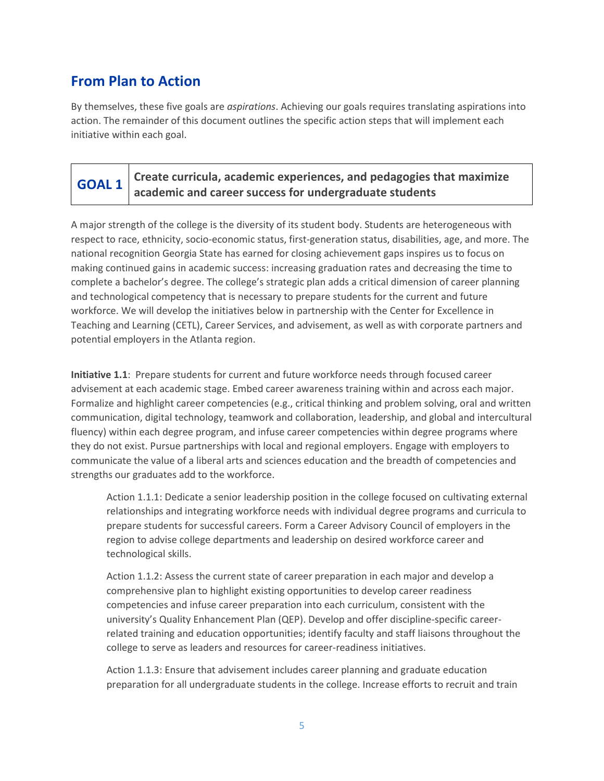### **From Plan to Action**

By themselves, these five goals are *aspirations*. Achieving our goals requires translating aspirations into action. The remainder of this document outlines the specific action steps that will implement each initiative within each goal.

|  | Create curricula, academic experiences, and pedagogies that maximize |
|--|----------------------------------------------------------------------|
|  | <b>GOAL 1</b> Create curriculu, www.com.                             |

A major strength of the college is the diversity of its student body. Students are heterogeneous with respect to race, ethnicity, socio-economic status, first-generation status, disabilities, age, and more. The national recognition Georgia State has earned for closing achievement gaps inspires us to focus on making continued gains in academic success: increasing graduation rates and decreasing the time to complete a bachelor's degree. The college's strategic plan adds a critical dimension of career planning and technological competency that is necessary to prepare students for the current and future workforce. We will develop the initiatives below in partnership with the Center for Excellence in Teaching and Learning (CETL), Career Services, and advisement, as well as with corporate partners and potential employers in the Atlanta region.

**Initiative 1.1**: Prepare students for current and future workforce needs through focused career advisement at each academic stage. Embed career awareness training within and across each major. Formalize and highlight career competencies (e.g., critical thinking and problem solving, oral and written communication, digital technology, teamwork and collaboration, leadership, and global and intercultural fluency) within each degree program, and infuse career competencies within degree programs where they do not exist. Pursue partnerships with local and regional employers. Engage with employers to communicate the value of a liberal arts and sciences education and the breadth of competencies and strengths our graduates add to the workforce.

Action 1.1.1: Dedicate a senior leadership position in the college focused on cultivating external relationships and integrating workforce needs with individual degree programs and curricula to prepare students for successful careers. Form a Career Advisory Council of employers in the region to advise college departments and leadership on desired workforce career and technological skills.

Action 1.1.2: Assess the current state of career preparation in each major and develop a comprehensive plan to highlight existing opportunities to develop career readiness competencies and infuse career preparation into each curriculum, consistent with the university's Quality Enhancement Plan (QEP). Develop and offer discipline-specific careerrelated training and education opportunities; identify faculty and staff liaisons throughout the college to serve as leaders and resources for career-readiness initiatives.

Action 1.1.3: Ensure that advisement includes career planning and graduate education preparation for all undergraduate students in the college. Increase efforts to recruit and train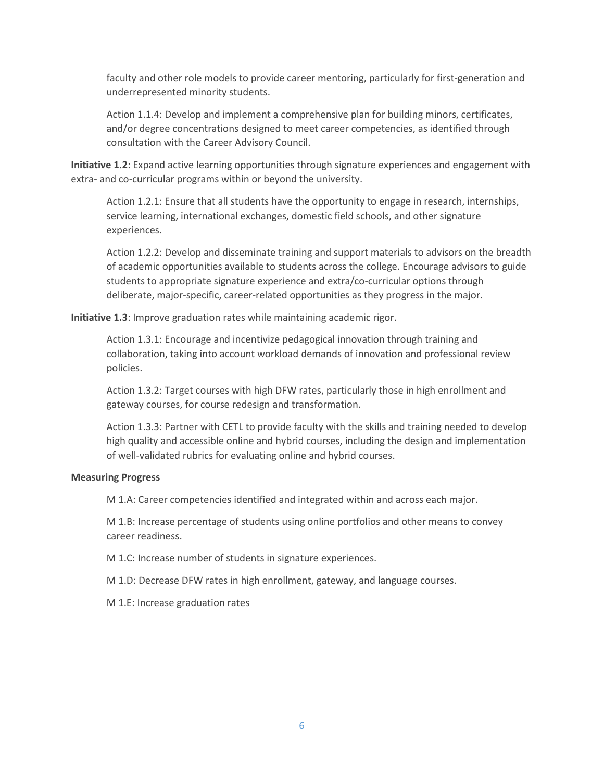faculty and other role models to provide career mentoring, particularly for first-generation and underrepresented minority students.

Action 1.1.4: Develop and implement a comprehensive plan for building minors, certificates, and/or degree concentrations designed to meet career competencies, as identified through consultation with the Career Advisory Council.

**Initiative 1.2**: Expand active learning opportunities through signature experiences and engagement with extra- and co-curricular programs within or beyond the university.

Action 1.2.1: Ensure that all students have the opportunity to engage in research, internships, service learning, international exchanges, domestic field schools, and other signature experiences.

Action 1.2.2: Develop and disseminate training and support materials to advisors on the breadth of academic opportunities available to students across the college. Encourage advisors to guide students to appropriate signature experience and extra/co-curricular options through deliberate, major-specific, career-related opportunities as they progress in the major.

**Initiative 1.3**: Improve graduation rates while maintaining academic rigor.

Action 1.3.1: Encourage and incentivize pedagogical innovation through training and collaboration, taking into account workload demands of innovation and professional review policies.

Action 1.3.2: Target courses with high DFW rates, particularly those in high enrollment and gateway courses, for course redesign and transformation.

Action 1.3.3: Partner with CETL to provide faculty with the skills and training needed to develop high quality and accessible online and hybrid courses, including the design and implementation of well-validated rubrics for evaluating online and hybrid courses.

#### **Measuring Progress**

M 1.A: Career competencies identified and integrated within and across each major.

M 1.B: Increase percentage of students using online portfolios and other means to convey career readiness.

M 1.C: Increase number of students in signature experiences.

M 1.D: Decrease DFW rates in high enrollment, gateway, and language courses.

M 1.E: Increase graduation rates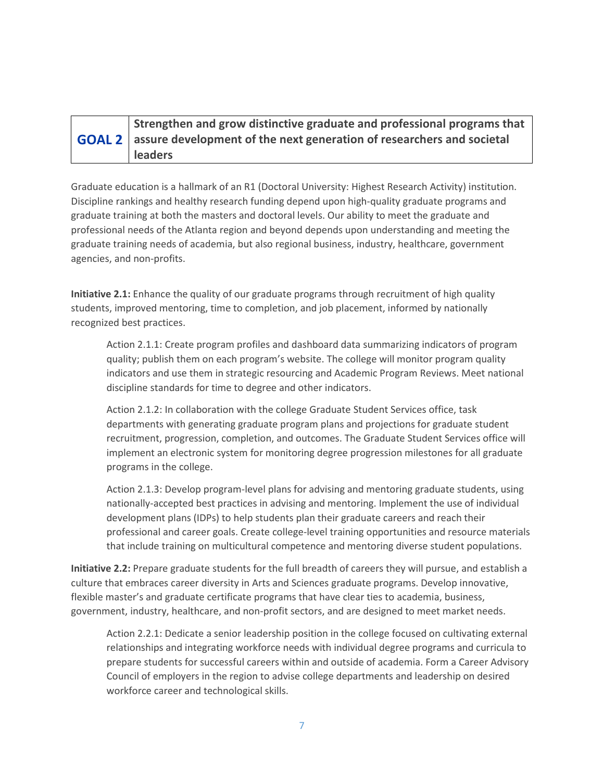| Strengthen and grow distinctive graduate and professional programs that             |
|-------------------------------------------------------------------------------------|
| <b>GOAL 2</b> assure development of the next generation of researchers and societal |
| <b>leaders</b>                                                                      |

Graduate education is a hallmark of an R1 (Doctoral University: Highest Research Activity) institution. Discipline rankings and healthy research funding depend upon high-quality graduate programs and graduate training at both the masters and doctoral levels. Our ability to meet the graduate and professional needs of the Atlanta region and beyond depends upon understanding and meeting the graduate training needs of academia, but also regional business, industry, healthcare, government agencies, and non-profits.

**Initiative 2.1:** Enhance the quality of our graduate programs through recruitment of high quality students, improved mentoring, time to completion, and job placement, informed by nationally recognized best practices.

Action 2.1.1: Create program profiles and dashboard data summarizing indicators of program quality; publish them on each program's website. The college will monitor program quality indicators and use them in strategic resourcing and Academic Program Reviews. Meet national discipline standards for time to degree and other indicators.

Action 2.1.2: In collaboration with the college Graduate Student Services office, task departments with generating graduate program plans and projections for graduate student recruitment, progression, completion, and outcomes. The Graduate Student Services office will implement an electronic system for monitoring degree progression milestones for all graduate programs in the college.

Action 2.1.3: Develop program-level plans for advising and mentoring graduate students, using nationally-accepted best practices in advising and mentoring. Implement the use of individual development plans (IDPs) to help students plan their graduate careers and reach their professional and career goals. Create college-level training opportunities and resource materials that include training on multicultural competence and mentoring diverse student populations.

**Initiative 2.2:** Prepare graduate students for the full breadth of careers they will pursue, and establish a culture that embraces career diversity in Arts and Sciences graduate programs. Develop innovative, flexible master's and graduate certificate programs that have clear ties to academia, business, government, industry, healthcare, and non-profit sectors, and are designed to meet market needs.

Action 2.2.1: Dedicate a senior leadership position in the college focused on cultivating external relationships and integrating workforce needs with individual degree programs and curricula to prepare students for successful careers within and outside of academia. Form a Career Advisory Council of employers in the region to advise college departments and leadership on desired workforce career and technological skills.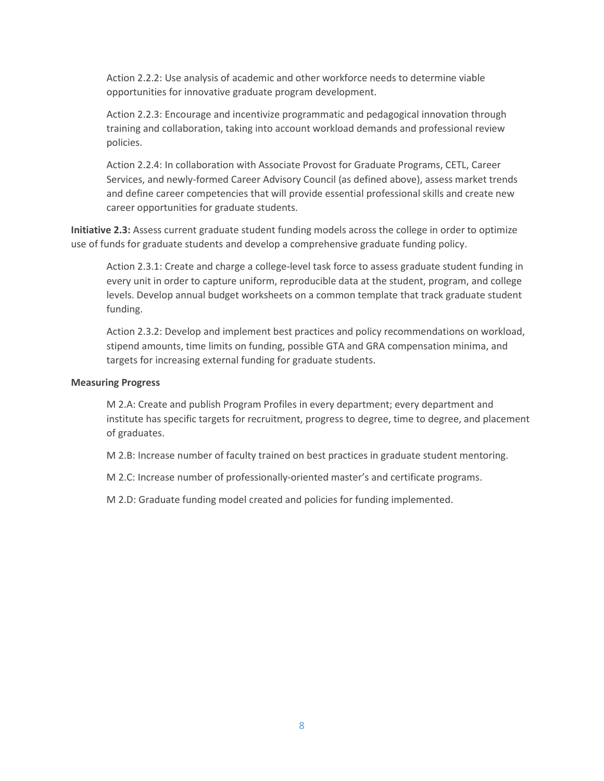Action 2.2.2: Use analysis of academic and other workforce needs to determine viable opportunities for innovative graduate program development.

Action 2.2.3: Encourage and incentivize programmatic and pedagogical innovation through training and collaboration, taking into account workload demands and professional review policies.

Action 2.2.4: In collaboration with Associate Provost for Graduate Programs, CETL, Career Services, and newly-formed Career Advisory Council (as defined above), assess market trends and define career competencies that will provide essential professional skills and create new career opportunities for graduate students.

**Initiative 2.3:** Assess current graduate student funding models across the college in order to optimize use of funds for graduate students and develop a comprehensive graduate funding policy.

Action 2.3.1: Create and charge a college-level task force to assess graduate student funding in every unit in order to capture uniform, reproducible data at the student, program, and college levels. Develop annual budget worksheets on a common template that track graduate student funding.

Action 2.3.2: Develop and implement best practices and policy recommendations on workload, stipend amounts, time limits on funding, possible GTA and GRA compensation minima, and targets for increasing external funding for graduate students.

#### **Measuring Progress**

M 2.A: Create and publish Program Profiles in every department; every department and institute has specific targets for recruitment, progress to degree, time to degree, and placement of graduates.

M 2.B: Increase number of faculty trained on best practices in graduate student mentoring.

M 2.C: Increase number of professionally-oriented master's and certificate programs.

M 2.D: Graduate funding model created and policies for funding implemented.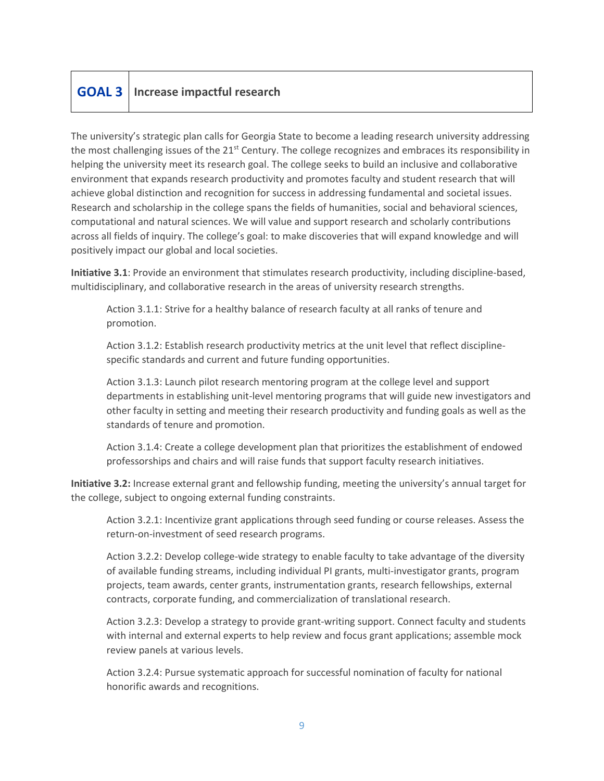### **GOAL 3 Increase impactful research**

The university's strategic plan calls for Georgia State to become a leading research university addressing the most challenging issues of the 21<sup>st</sup> Century. The college recognizes and embraces its responsibility in helping the university meet its research goal. The college seeks to build an inclusive and collaborative environment that expands research productivity and promotes faculty and student research that will achieve global distinction and recognition for success in addressing fundamental and societal issues. Research and scholarship in the college spans the fields of humanities, social and behavioral sciences, computational and natural sciences. We will value and support research and scholarly contributions across all fields of inquiry. The college's goal: to make discoveries that will expand knowledge and will positively impact our global and local societies.

**Initiative 3.1**: Provide an environment that stimulates research productivity, including discipline-based, multidisciplinary, and collaborative research in the areas of university research strengths.

Action 3.1.1: Strive for a healthy balance of research faculty at all ranks of tenure and promotion.

Action 3.1.2: Establish research productivity metrics at the unit level that reflect disciplinespecific standards and current and future funding opportunities.

Action 3.1.3: Launch pilot research mentoring program at the college level and support departments in establishing unit-level mentoring programs that will guide new investigators and other faculty in setting and meeting their research productivity and funding goals as well as the standards of tenure and promotion.

Action 3.1.4: Create a college development plan that prioritizes the establishment of endowed professorships and chairs and will raise funds that support faculty research initiatives.

**Initiative 3.2:** Increase external grant and fellowship funding, meeting the university's annual target for the college, subject to ongoing external funding constraints.

Action 3.2.1: Incentivize grant applications through seed funding or course releases. Assess the return-on-investment of seed research programs.

Action 3.2.2: Develop college-wide strategy to enable faculty to take advantage of the diversity of available funding streams, including individual PI grants, multi-investigator grants, program projects, team awards, center grants, instrumentation grants, research fellowships, external contracts, corporate funding, and commercialization of translational research.

Action 3.2.3: Develop a strategy to provide grant-writing support. Connect faculty and students with internal and external experts to help review and focus grant applications; assemble mock review panels at various levels.

Action 3.2.4: Pursue systematic approach for successful nomination of faculty for national honorific awards and recognitions.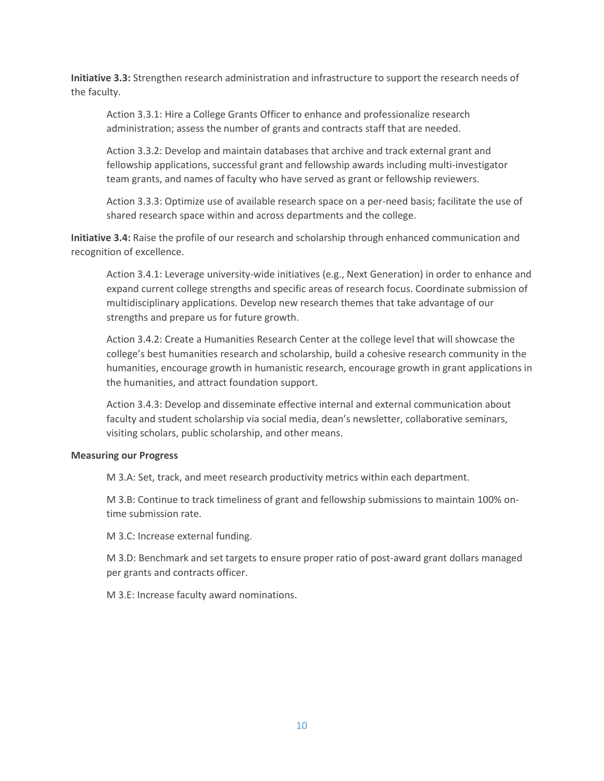**Initiative 3.3:** Strengthen research administration and infrastructure to support the research needs of the faculty.

Action 3.3.1: Hire a College Grants Officer to enhance and professionalize research administration; assess the number of grants and contracts staff that are needed.

Action 3.3.2: Develop and maintain databases that archive and track external grant and fellowship applications, successful grant and fellowship awards including multi-investigator team grants, and names of faculty who have served as grant or fellowship reviewers.

Action 3.3.3: Optimize use of available research space on a per-need basis; facilitate the use of shared research space within and across departments and the college.

**Initiative 3.4:** Raise the profile of our research and scholarship through enhanced communication and recognition of excellence.

Action 3.4.1: Leverage university-wide initiatives (e.g., Next Generation) in order to enhance and expand current college strengths and specific areas of research focus. Coordinate submission of multidisciplinary applications. Develop new research themes that take advantage of our strengths and prepare us for future growth.

Action 3.4.2: Create a Humanities Research Center at the college level that will showcase the college's best humanities research and scholarship, build a cohesive research community in the humanities, encourage growth in humanistic research, encourage growth in grant applications in the humanities, and attract foundation support.

Action 3.4.3: Develop and disseminate effective internal and external communication about faculty and student scholarship via social media, dean's newsletter, collaborative seminars, visiting scholars, public scholarship, and other means.

#### **Measuring our Progress**

M 3.A: Set, track, and meet research productivity metrics within each department.

M 3.B: Continue to track timeliness of grant and fellowship submissions to maintain 100% ontime submission rate.

M 3.C: Increase external funding.

M 3.D: Benchmark and set targets to ensure proper ratio of post-award grant dollars managed per grants and contracts officer.

M 3.E: Increase faculty award nominations.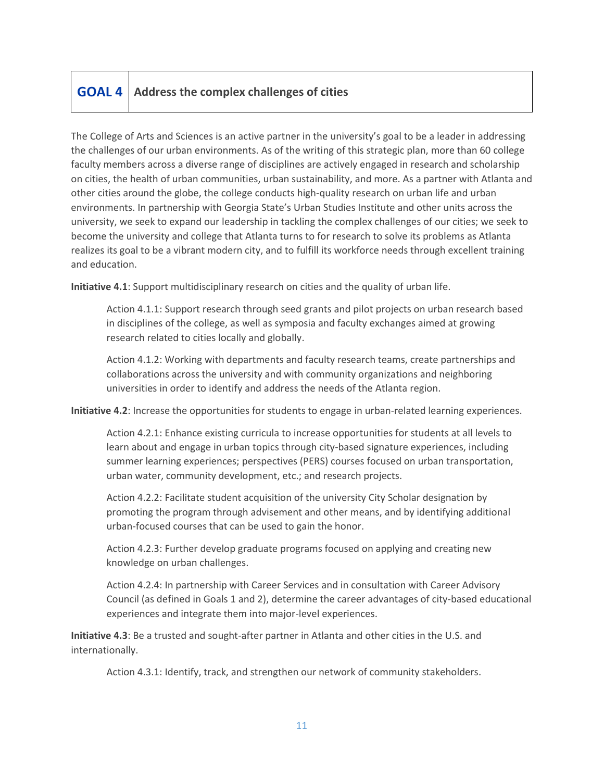### **GOAL 4 Address the complex challenges of cities**

The College of Arts and Sciences is an active partner in the university's goal to be a leader in addressing the challenges of our urban environments. As of the writing of this strategic plan, more than 60 college faculty members across a diverse range of disciplines are actively engaged in research and scholarship on cities, the health of urban communities, urban sustainability, and more. As a partner with Atlanta and other cities around the globe, the college conducts high-quality research on urban life and urban environments. In partnership with Georgia State's Urban Studies Institute and other units across the university, we seek to expand our leadership in tackling the complex challenges of our cities; we seek to become the university and college that Atlanta turns to for research to solve its problems as Atlanta realizes its goal to be a vibrant modern city, and to fulfill its workforce needs through excellent training and education.

**Initiative 4.1**: Support multidisciplinary research on cities and the quality of urban life.

Action 4.1.1: Support research through seed grants and pilot projects on urban research based in disciplines of the college, as well as symposia and faculty exchanges aimed at growing research related to cities locally and globally.

Action 4.1.2: Working with departments and faculty research teams, create partnerships and collaborations across the university and with community organizations and neighboring universities in order to identify and address the needs of the Atlanta region.

**Initiative 4.2**: Increase the opportunities for students to engage in urban-related learning experiences.

Action 4.2.1: Enhance existing curricula to increase opportunities for students at all levels to learn about and engage in urban topics through city-based signature experiences, including summer learning experiences; perspectives (PERS) courses focused on urban transportation, urban water, community development, etc.; and research projects.

Action 4.2.2: Facilitate student acquisition of the university City Scholar designation by promoting the program through advisement and other means, and by identifying additional urban-focused courses that can be used to gain the honor.

Action 4.2.3: Further develop graduate programs focused on applying and creating new knowledge on urban challenges.

Action 4.2.4: In partnership with Career Services and in consultation with Career Advisory Council (as defined in Goals 1 and 2), determine the career advantages of city-based educational experiences and integrate them into major-level experiences.

**Initiative 4.3**: Be a trusted and sought-after partner in Atlanta and other cities in the U.S. and internationally.

Action 4.3.1: Identify, track, and strengthen our network of community stakeholders.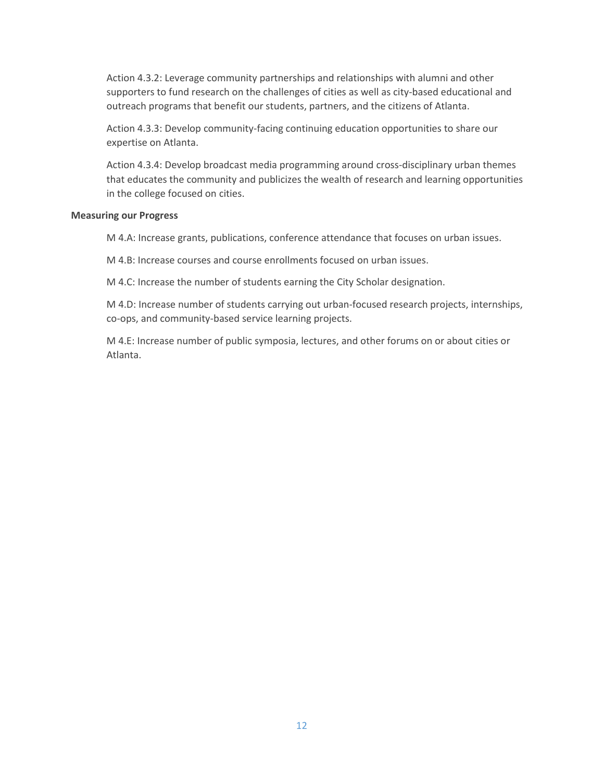Action 4.3.2: Leverage community partnerships and relationships with alumni and other supporters to fund research on the challenges of cities as well as city-based educational and outreach programs that benefit our students, partners, and the citizens of Atlanta.

Action 4.3.3: Develop community-facing continuing education opportunities to share our expertise on Atlanta.

Action 4.3.4: Develop broadcast media programming around cross-disciplinary urban themes that educates the community and publicizes the wealth of research and learning opportunities in the college focused on cities.

#### **Measuring our Progress**

M 4.A: Increase grants, publications, conference attendance that focuses on urban issues.

M 4.B: Increase courses and course enrollments focused on urban issues.

M 4.C: Increase the number of students earning the City Scholar designation.

M 4.D: Increase number of students carrying out urban-focused research projects, internships, co-ops, and community-based service learning projects.

M 4.E: Increase number of public symposia, lectures, and other forums on or about cities or Atlanta.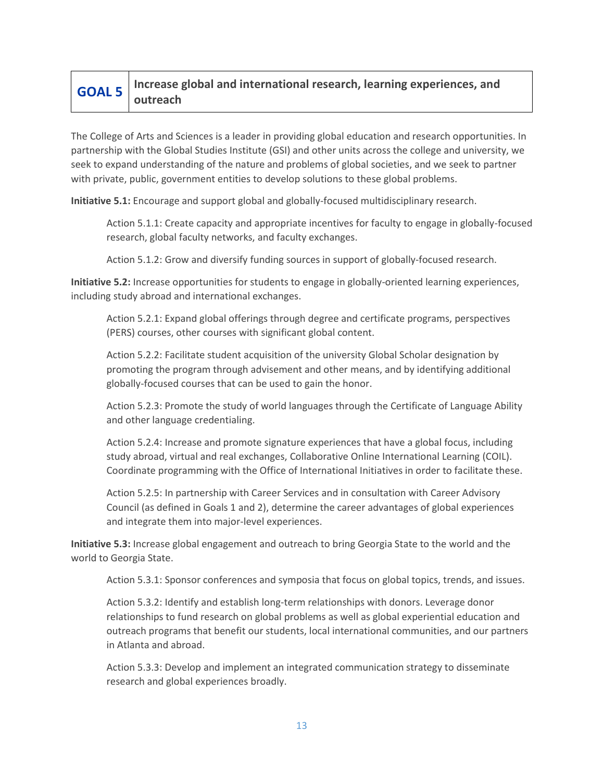#### **GOAL 5 Increase global and international research, learning experiences, and outreach**

The College of Arts and Sciences is a leader in providing global education and research opportunities. In partnership with the Global Studies Institute (GSI) and other units across the college and university, we seek to expand understanding of the nature and problems of global societies, and we seek to partner with private, public, government entities to develop solutions to these global problems.

**Initiative 5.1:** Encourage and support global and globally-focused multidisciplinary research.

Action 5.1.1: Create capacity and appropriate incentives for faculty to engage in globally-focused research, global faculty networks, and faculty exchanges.

Action 5.1.2: Grow and diversify funding sources in support of globally-focused research.

**Initiative 5.2:** Increase opportunities for students to engage in globally-oriented learning experiences, including study abroad and international exchanges.

Action 5.2.1: Expand global offerings through degree and certificate programs, perspectives (PERS) courses, other courses with significant global content.

Action 5.2.2: Facilitate student acquisition of the university Global Scholar designation by promoting the program through advisement and other means, and by identifying additional globally-focused courses that can be used to gain the honor.

Action 5.2.3: Promote the study of world languages through the Certificate of Language Ability and other language credentialing.

Action 5.2.4: Increase and promote signature experiences that have a global focus, including study abroad, virtual and real exchanges, Collaborative Online International Learning (COIL). Coordinate programming with the Office of International Initiatives in order to facilitate these.

Action 5.2.5: In partnership with Career Services and in consultation with Career Advisory Council (as defined in Goals 1 and 2), determine the career advantages of global experiences and integrate them into major-level experiences.

**Initiative 5.3:** Increase global engagement and outreach to bring Georgia State to the world and the world to Georgia State.

Action 5.3.1: Sponsor conferences and symposia that focus on global topics, trends, and issues.

Action 5.3.2: Identify and establish long-term relationships with donors. Leverage donor relationships to fund research on global problems as well as global experiential education and outreach programs that benefit our students, local international communities, and our partners in Atlanta and abroad.

Action 5.3.3: Develop and implement an integrated communication strategy to disseminate research and global experiences broadly.